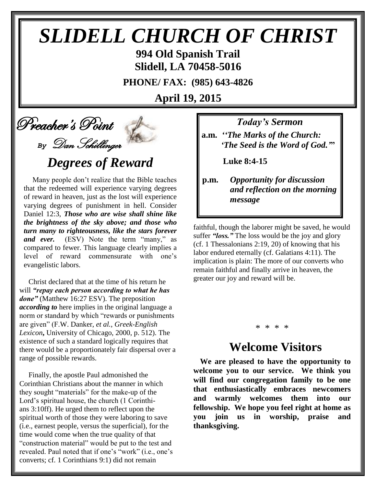# *SLIDELL CHURCH OF CHRIST*

**994 Old Spanish Trail Slidell, LA 70458-5016**

**PHONE/ FAX: (985) 643-4826**

**April 19, 2015**

# Preacher's Point

# *By* Dan Schillinger *Degrees of Reward*

Many people don't realize that the Bible teaches that the redeemed will experience varying degrees of reward in heaven, just as the lost will experience varying degrees of punishment in hell. Consider Daniel 12:3, *Those who are wise shall shine like the brightness of the sky above; and those who turn many to righteousness, like the stars forever*  and ever. (ESV) Note the term "many," as compared to fewer. This language clearly implies a level of reward commensurate with one's evangelistic labors.

 Christ declared that at the time of his return he will *"repay each person according to what he has done"* (Matthew 16:27 ESV). The preposition *according to* here implies in the original language a norm or standard by which "rewards or punishments are given" (F.W. Danker, *et al.*, *Greek-English Lexicon***,** University of Chicago, 2000, p. 512). The existence of such a standard logically requires that there would be a proportionately fair dispersal over a range of possible rewards.

 Finally, the apostle Paul admonished the Corinthian Christians about the manner in which they sought "materials" for the make-up of the Lord's spiritual house, the church (1 Corinthians 3:10ff). He urged them to reflect upon the spiritual worth of those they were laboring to save (i.e., earnest people, versus the superficial), for the time would come when the true quality of that "construction material" would be put to the test and revealed. Paul noted that if one's "work" (i.e., one's converts; cf. 1 Corinthians 9:1) did not remain

*Today's Sermon*

**a.m.** *''The Marks of the Church: 'The Seed is the Word of God.'***"**

 **Luke 8:4-15**

**p.m.** *Opportunity for discussion*  *and reflection on the morning message*

faithful, though the laborer might be saved, he would suffer *"loss."* The loss would be the joy and glory (cf. 1 Thessalonians 2:19, 20) of knowing that his labor endured eternally (cf. Galatians 4:11). The implication is plain: The more of our converts who remain faithful and finally arrive in heaven, the greater our joy and reward will be.

#### \* \* \* \*

## **Welcome Visitors**

**We are pleased to have the opportunity to welcome you to our service. We think you will find our congregation family to be one that enthusiastically embraces newcomers and warmly welcomes them into our fellowship. We hope you feel right at home as you join us in worship, praise and thanksgiving.**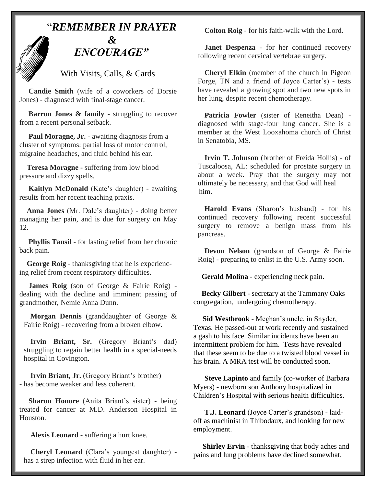

With Visits, Calls, & Cards

 **Candie Smith** (wife of a coworkers of Dorsie Jones) - diagnosed with final-stage cancer.

**Barron Jones & family** - struggling to recover from a recent personal setback.

Paul Moragne, Jr. - awaiting diagnosis from a cluster of symptoms: partial loss of motor control, migraine headaches, and fluid behind his ear.

 **Teresa Moragne -** suffering from low blood pressure and dizzy spells.

 **Kaitlyn McDonald** (Kate's daughter) - awaiting results from her recent teaching praxis.

 **Anna Jones** (Mr. Dale's daughter) - doing better managing her pain, and is due for surgery on May 12.

**Phyllis Tansil** - for lasting relief from her chronic back pain.

 **George Roig** - thanksgiving that he is experiencing relief from recent respiratory difficulties.

 **James Roig** (son of George & Fairie Roig) dealing with the decline and imminent passing of grandmother, Nemie Anna Dunn.

**Morgan Dennis** (granddaughter of George & Fairie Roig) - recovering from a broken elbow.

**Irvin Briant, Sr.** (Gregory Briant's dad) struggling to regain better health in a special-needs hospital in Covington.

**Irvin Briant, Jr.** (Gregory Briant's brother) - has become weaker and less coherent.

 **Sharon Honore** (Anita Briant's sister) - being treated for cancer at M.D. Anderson Hospital in Houston.

**Alexis Leonard** - suffering a hurt knee.

**Cheryl Leonard** (Clara's youngest daughter) has a strep infection with fluid in her ear.

**Colton Roig** - for his faith-walk with the Lord.

**Janet Despenza** - for her continued recovery following recent cervical vertebrae surgery.

**Cheryl Elkin** (member of the church in Pigeon Forge, TN and a friend of Joyce Carter's) - tests have revealed a growing spot and two new spots in her lung, despite recent chemotherapy.

**Patricia Fowler** (sister of Reneitha Dean) diagnosed with stage-four lung cancer. She is a member at the West Looxahoma church of Christ in Senatobia, MS.

**Irvin T. Johnson** (brother of Freida Hollis) - of Tuscaloosa, AL: scheduled for prostate surgery in about a week. Pray that the surgery may not ultimately be necessary, and that God will heal him.

**Harold Evans** (Sharon's husband) - for his continued recovery following recent successful surgery to remove a benign mass from his pancreas.

**Devon Nelson** (grandson of George & Fairie Roig) - preparing to enlist in the U.S. Army soon.

 **Gerald Molina** - experiencing neck pain.

 **Becky Gilbert** - secretary at the Tammany Oaks congregation, undergoing chemotherapy.

 **Sid Westbrook** - Meghan's uncle, in Snyder, Texas. He passed-out at work recently and sustained a gash to his face. Similar incidents have been an intermittent problem for him. Tests have revealed that these seem to be due to a twisted blood vessel in his brain. A MRA test will be conducted soon.

 **Steve Lapinto** and family (co-worker of Barbara Myers) - newborn son Anthony hospitalized in Children's Hospital with serious health difficulties.

 **T.J. Leonard** (Joyce Carter's grandson) - laidoff as machinist in Thibodaux, and looking for new employment.

 **Shirley Ervin** - thanksgiving that body aches and pains and lung problems have declined somewhat.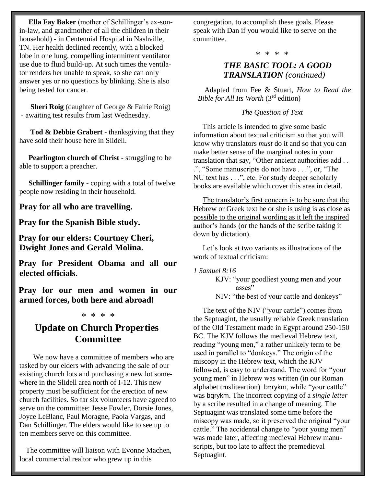**Ella Fay Baker** (mother of Schillinger's ex-sonin-law, and grandmother of all the children in their household) - in Centennial Hospital in Nashville, TN. Her health declined recently, with a blocked lobe in one lung, compelling intermittent ventilator use due to fluid build-up. At such times the ventilator renders her unable to speak, so she can only answer yes or no questions by blinking. She is also being tested for cancer.

 **Sheri Roig** (daughter of George & Fairie Roig) - awaiting test results from last Wednesday.

 **Tod & Debbie Grabert** - thanksgiving that they have sold their house here in Slidell.

 **Pearlington church of Christ** - struggling to be able to support a preacher.

 **Schillinger family** - coping with a total of twelve people now residing in their household.

**Pray for all who are travelling.**

**Pray for the Spanish Bible study.**

**Pray for our elders: Courtney Cheri, Dwight Jones and Gerald Molina.**

**Pray for President Obama and all our elected officials.**

**Pray for our men and women in our armed forces, both here and abroad!**

#### \* \* \* \*

### **Update on Church Properties Committee**

 We now have a committee of members who are tasked by our elders with advancing the sale of our existing church lots and purchasing a new lot somewhere in the Slidell area north of I-12. This new property must be sufficient for the erection of new church facilities. So far six volunteers have agreed to serve on the committee: Jesse Fowler, Dorsie Jones, Joyce LeBlanc, Paul Moragne, Paola Vargas, and Dan Schillinger. The elders would like to see up to ten members serve on this committee.

 The committee will liaison with Evonne Machen, local commercial realtor who grew up in this

congregation, to accomplish these goals. Please speak with Dan if you would like to serve on the committee.

\* \* \* \*

### *THE BASIC TOOL: A GOOD TRANSLATION (continued)*

Adapted from Fee & Stuart, *How to Read the Bible for All Its Worth* (3rd edition)

#### *The Question of Text*

 This article is intended to give some basic information about textual criticism so that you will know why translators *must* do it and so that you can make better sense of the marginal notes in your translation that say, "Other ancient authorities add . . .", "Some manuscripts do not have . . .", or, "The NU text has . . .", etc. For study deeper scholarly books are available which cover this area in detail.

 The translator's first concern is to be sure that the Hebrew or Greek text he or she is using is as close as possible to the original wording as it left the inspired author's hands (or the hands of the scribe taking it down by dictation).

 Let's look at two variants as illustrations of the work of textual criticism:

*1 Samuel 8:16*

KJV: "your goodliest young men and your asses" NIV: "the best of your cattle and donkeys"

 The text of the NIV ("your cattle") comes from the Septuagint, the usually reliable Greek translation of the Old Testament made in Egypt around 250-150 BC. The KJV follows the medieval Hebrew text, reading "young men," a rather unlikely term to be used in parallel to "donkeys." The origin of the miscopy in the Hebrew text, which the KJV followed, is easy to understand. The word for "your young men" in Hebrew was written (in our Roman alphabet trnsliteartion) bnrykm, while "your cattle" was bqrykm. The incorrect copying of a *single letter* by a scribe resulted in a change of meaning. The Septuagint was translated some time before the miscopy was made, so it preserved the original "your cattle." The accidental change to "your young men" was made later, affecting medieval Hebrew manuscripts, but too late to affect the premedieval Septuagint.